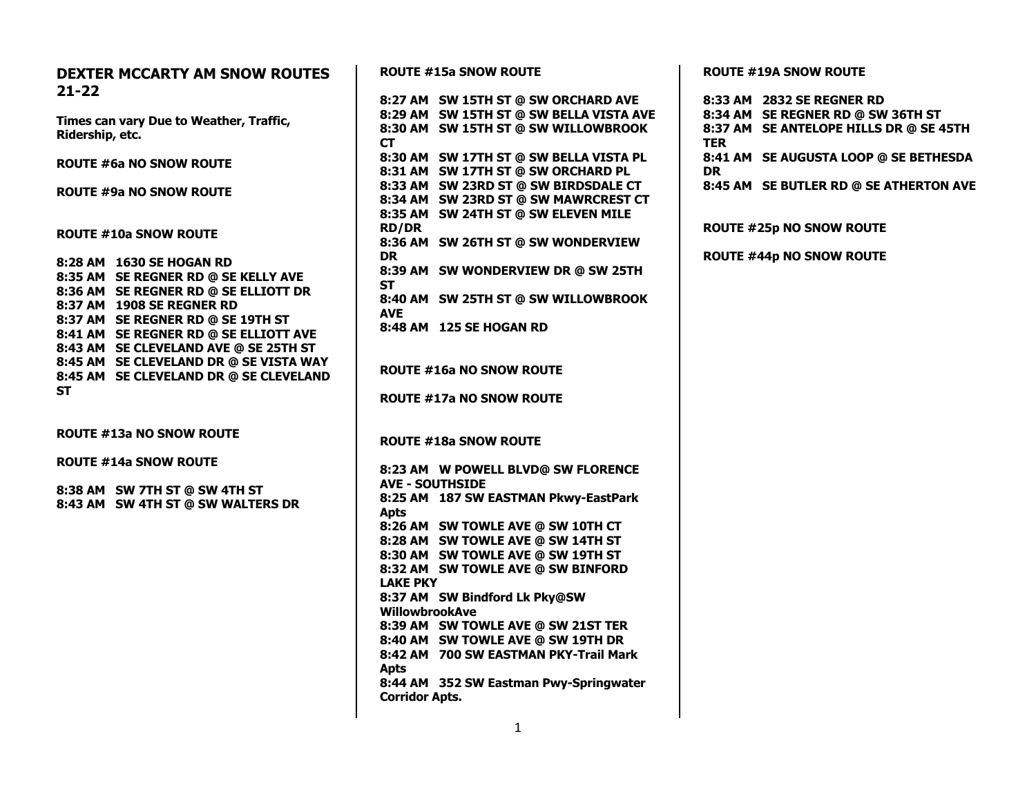| <b>DEXTER MCCARTY AM SNOW ROUTES</b><br>$21 - 22$ | <b>ROUTE #15a SNOW ROUTE</b>                     |  |
|---------------------------------------------------|--------------------------------------------------|--|
|                                                   | 8:27 AM SW 15TH ST @ SW ORCHARD AVE              |  |
| Times can vary Due to Weather, Traffic,           | 8:29 AM SW 15TH ST @ SW BELLA VISTA AVE          |  |
| Ridership, etc.                                   | 8:30 AM SW 15TH ST @ SW WILLOWBROOK<br><b>CT</b> |  |
| <b>ROUTE #6a NO SNOW ROUTE</b>                    | 8:30 AM SW 17TH ST @ SW BELLA VISTA PL           |  |
|                                                   | 8:31 AM SW 17TH ST @ SW ORCHARD PL               |  |
| ROUTE #9a NO SNOW ROUTE                           | 8:33 AM SW 23RD ST @ SW BIRDSDALE CT             |  |
|                                                   | 8:34 AM SW 23RD ST @ SW MAWRCREST CT             |  |
|                                                   | 8:35 AM SW 24TH ST @ SW ELEVEN MILE              |  |
| <b>ROUTE #10a SNOW ROUTE</b>                      | <b>RD/DR</b>                                     |  |
|                                                   | 8:36 AM SW 26TH ST @ SW WONDERVIEW               |  |
| 8:28 AM 1630 SE HOGAN RD                          | <b>DR</b>                                        |  |
| 8:35 AM SE REGNER RD @ SE KELLY AVE               | 8:39 AM SW WONDERVIEW DR @ SW 25TH               |  |
| 8:36 AM SE REGNER RD @ SE ELLIOTT DR              | <b>ST</b>                                        |  |
| 8:37 AM 1908 SE REGNER RD                         | 8:40 AM SW 25TH ST @ SW WILLOWBROOK              |  |
| 8:37 AM SE REGNER RD @ SE 19TH ST                 | <b>AVE</b>                                       |  |
| 8:41 AM SE REGNER RD @ SE ELLIOTT AVE             | 8:48 AM 125 SE HOGAN RD                          |  |
| 8:43 AM SE CLEVELAND AVE @ SE 25TH ST             |                                                  |  |
| 8:45 AM SE CLEVELAND DR @ SE VISTA WAY            |                                                  |  |
| 8:45 AM SE CLEVELAND DR @ SE CLEVELAND            | <b>ROUTE #16a NO SNOW ROUTE</b>                  |  |
| <b>ST</b>                                         | <b>ROUTE #17a NO SNOW ROUTE</b>                  |  |
| <b>ROUTE #13a NO SNOW ROUTE</b>                   | <b>ROUTE #18a SNOW ROUTE</b>                     |  |
| <b>ROUTE #14a SNOW ROUTE</b>                      |                                                  |  |
|                                                   | 8:23 AM W POWELL BLVD@ SW FLORENCE               |  |
| 8:38 AM SW 7TH ST @ SW 4TH ST                     | <b>AVE - SOUTHSIDE</b>                           |  |
| 8:43 AM SW 4TH ST @ SW WALTERS DR                 | 8:25 AM 187 SW EASTMAN Pkwy-EastPark             |  |
|                                                   | <b>Apts</b>                                      |  |
|                                                   | 8:26 AM SW TOWLE AVE @ SW 10TH CT                |  |
|                                                   | 8:28 AM SW TOWLE AVE @ SW 14TH ST                |  |
|                                                   | 8:30 AM SW TOWLE AVE @ SW 19TH ST                |  |
|                                                   | 8:32 AM SW TOWLE AVE @ SW BINFORD                |  |
|                                                   | <b>LAKE PKY</b>                                  |  |
|                                                   | 8:37 AM SW Bindford Lk Pky@SW                    |  |
|                                                   | <b>WillowbrookAve</b>                            |  |
|                                                   | 8:39 AM SW TOWLE AVE @ SW 21ST TER               |  |
|                                                   | 8:40 AM SW TOWLE AVE @ SW 19TH DR                |  |
|                                                   | 8:42 AM 700 SW EASTMAN PKY-Trail Mark            |  |
|                                                   | <b>Apts</b>                                      |  |
|                                                   | 8:44 AM 352 SW Eastman Pwy-Springwater           |  |
|                                                   | <b>Corridor Apts.</b>                            |  |

**ROUTE #19A SNOW ROUTE**

|      | 8:33 AM 2832 SE REGNER RD              |
|------|----------------------------------------|
|      | 8:34 AM SE REGNER RD @ SW 36TH ST      |
| TER. | 8:37 AM SE ANTELOPE HILLS DR @ SE 45TH |
| DR.  | 8:41 AM SE AUGUSTA LOOP @ SE BETHESDA  |
|      | 8:45 AM SE BUTLER RD @ SE ATHERTON AVE |
|      | <b>ROUTE #25p NO SNOW ROUTE</b>        |
|      | <b>ROUTE #44p NO SNOW ROUTE</b>        |